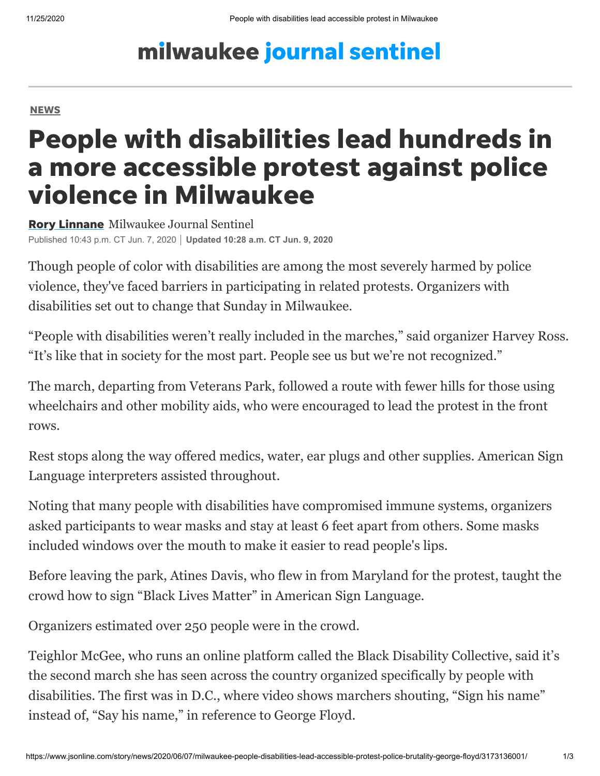## milwaukee journal sentinel

## **[NEWS](https://www.jsonline.com/news/)**

## People with disabilities lead hundreds in a more accessible protest against police violence in Milwaukee

**Rory [Linnane](https://www.jsonline.com/staff/2646534001/rory-linnane/)** Milwaukee Journal Sentinel Published 10:43 p.m. CT Jun. 7, 2020 **Updated 10:28 a.m. CT Jun. 9, 2020**

Though people of color with disabilities are among the most severely harmed by police violence, they've faced barriers in participating in related protests. Organizers with disabilities set out to change that Sunday in Milwaukee.

"People with disabilities weren't really included in the marches," said organizer Harvey Ross. "It's like that in society for the most part. People see us but we're not recognized."

The march, departing from Veterans Park, followed a route with fewer hills for those using wheelchairs and other mobility aids, who were encouraged to lead the protest in the front rows.

Rest stops along the way offered medics, water, ear plugs and other supplies. American Sign Language interpreters assisted throughout.

Noting that many people with disabilities have compromised immune systems, organizers asked participants to wear masks and stay at least 6 feet apart from others. Some masks included windows over the mouth to make it easier to read people's lips.

Before leaving the park, Atines Davis, who flew in from Maryland for the protest, taught the crowd how to sign "Black Lives Matter" in American Sign Language.

Organizers estimated over 250 people were in the crowd.

Teighlor McGee, who runs an online platform called the Black Disability Collective, said it's the second march she has seen across the country organized specifically by people with disabilities. The first was in D.C., where video shows [marchers shouting, "Sign his name"](https://twitter.com/jtknoxroxs/status/1269372129046388739) instead of, "Say his name," in reference to George Floyd.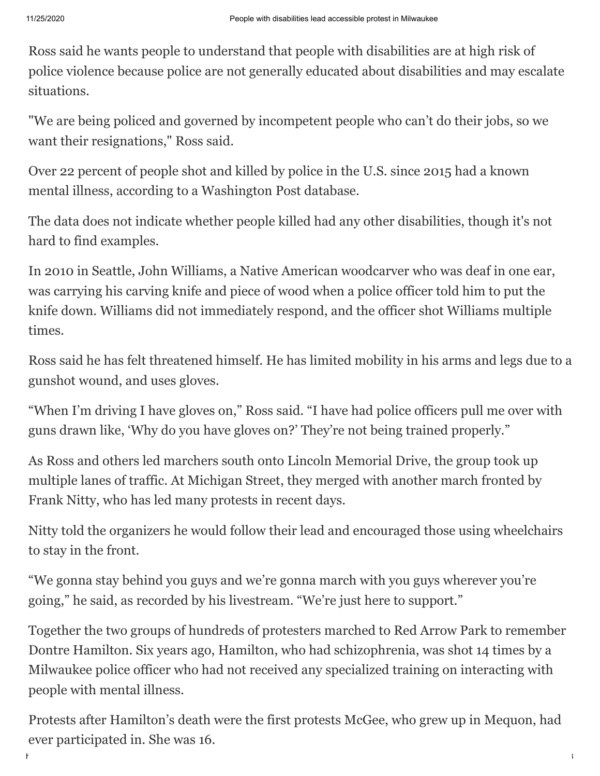Ross said he wants people to understand that people with disabilities are at high risk of police violence because police are not generally educated about disabilities and may escalate situations.

"We are being policed and governed by incompetent people who can't do their jobs, so we want their resignations," Ross said.

Over 22 percent of people shot and killed by police in the U.S. since 2015 had a known mental illness, according to a [Washington Post database.](https://www.washingtonpost.com/graphics/investigations/police-shootings-database/)

The data does not indicate whether people killed had any other disabilities, though it's not hard to find [examples.](https://rudermanfoundation.org/wp-content/uploads/2017/08/MediaStudy-PoliceDisability_final-final.pdf)

In 2010 in Seattle, [John Williams](https://www.npr.org/2016/10/07/496867205/years-after-police-shooting-woodcarvers-brother-remembers-the-man-he-lost), a Native American woodcarver who was deaf in one ear, was carrying his carving knife and piece of wood when a police officer told him to put the knife down. Williams did not immediately respond, and the officer shot Williams multiple times.

Ross said he has felt threatened himself. He has limited mobility in his arms and legs due to a gunshot wound, and uses gloves.

"When I'm driving I have gloves on," Ross said. "I have had police officers pull me over with guns drawn like, 'Why do you have gloves on?' They're not being trained properly."

As Ross and others led marchers south onto Lincoln Memorial Drive, the group took up multiple lanes of traffic. At Michigan Street, they merged with another march fronted by Frank Nitty, who has led many protests in recent days.

Nitty told the organizers he would follow their lead and encouraged those using wheelchairs to stay in the front.

"We gonna stay behind you guys and we're gonna march with you guys wherever you're going," he said, as recorded by his livestream. "We're just here to support."

Together the two groups of hundreds of protesters marched to Red Arrow Park to remember Dontre Hamilton. Six years ago, Hamilton, who had schizophrenia, was shot 14 times by a Milwaukee police officer who had [not received any specialized training](https://www.jsonline.com/story/news/crime/2017/04/12/family-dontre-hamilton-milwaukee-man-fatally-shot-police-prevails-early-legal-round/100391404/) on interacting with people with mental illness.

Protests after Hamilton's death were the first protests McGee, who grew up in Mequon, had ever participated in. She was 16.

https://www.jsonline.com/story/news/2020/06/07/milwaukee-people-disabilities-lead-accessible-protest-police-brutality-george-floyd/3173136001/ 2/3